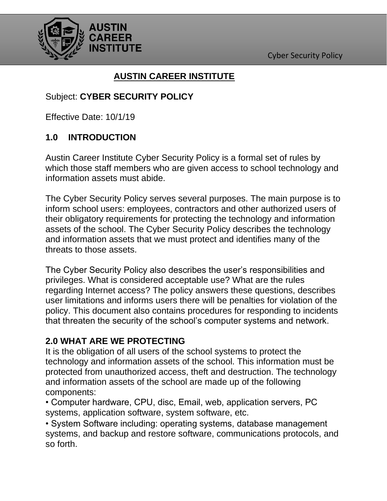

# **AUSTIN CAREER INSTITUTE**

### Subject: **CYBER SECURITY POLICY**

Effective Date: 10/1/19

### **1.0 INTRODUCTION**

Austin Career Institute Cyber Security Policy is a formal set of rules by which those staff members who are given access to school technology and information assets must abide.

The Cyber Security Policy serves several purposes. The main purpose is to inform school users: employees, contractors and other authorized users of their obligatory requirements for protecting the technology and information assets of the school. The Cyber Security Policy describes the technology and information assets that we must protect and identifies many of the threats to those assets.

The Cyber Security Policy also describes the user's responsibilities and privileges. What is considered acceptable use? What are the rules regarding Internet access? The policy answers these questions, describes user limitations and informs users there will be penalties for violation of the policy. This document also contains procedures for responding to incidents that threaten the security of the school's computer systems and network.

#### **2.0 WHAT ARE WE PROTECTING**

It is the obligation of all users of the school systems to protect the technology and information assets of the school. This information must be protected from unauthorized access, theft and destruction. The technology and information assets of the school are made up of the following components:

• Computer hardware, CPU, disc, Email, web, application servers, PC systems, application software, system software, etc.

• System Software including: operating systems, database management systems, and backup and restore software, communications protocols, and so forth.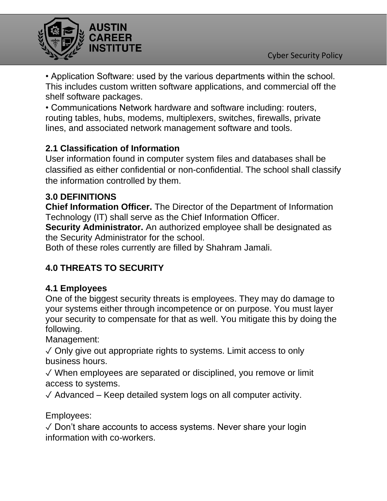

• Application Software: used by the various departments within the school. This includes custom written software applications, and commercial off the shelf software packages.

• Communications Network hardware and software including: routers, routing tables, hubs, modems, multiplexers, switches, firewalls, private lines, and associated network management software and tools.

# **2.1 Classification of Information**

User information found in computer system files and databases shall be classified as either confidential or non-confidential. The school shall classify the information controlled by them.

### **3.0 DEFINITIONS**

**Chief Information Officer.** The Director of the Department of Information Technology (IT) shall serve as the Chief Information Officer.

**Security Administrator.** An authorized employee shall be designated as the Security Administrator for the school.

Both of these roles currently are filled by Shahram Jamali.

# **4.0 THREATS TO SECURITY**

# **4.1 Employees**

One of the biggest security threats is employees. They may do damage to your systems either through incompetence or on purpose. You must layer your security to compensate for that as well. You mitigate this by doing the following.

Management:

 $\sqrt{\frac{1}{100}}$  Only give out appropriate rights to systems. Limit access to only business hours.

✓ When employees are separated or disciplined, you remove or limit access to systems.

 $\sqrt{\ }$  Advanced – Keep detailed system logs on all computer activity.

Employees:

✓ Don't share accounts to access systems. Never share your login information with co-workers.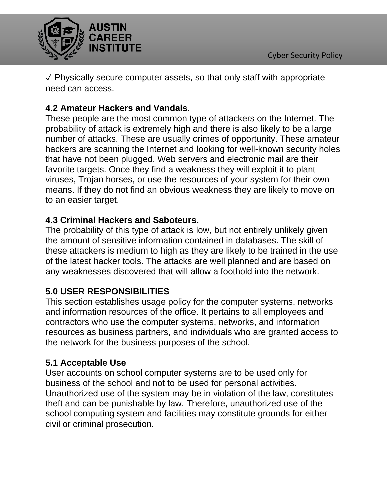

✓ Physically secure computer assets, so that only staff with appropriate need can access.

### **4.2 Amateur Hackers and Vandals.**

These people are the most common type of attackers on the Internet. The probability of attack is extremely high and there is also likely to be a large number of attacks. These are usually crimes of opportunity. These amateur hackers are scanning the Internet and looking for well-known security holes that have not been plugged. Web servers and electronic mail are their favorite targets. Once they find a weakness they will exploit it to plant viruses, Trojan horses, or use the resources of your system for their own means. If they do not find an obvious weakness they are likely to move on to an easier target.

#### **4.3 Criminal Hackers and Saboteurs.**

The probability of this type of attack is low, but not entirely unlikely given the amount of sensitive information contained in databases. The skill of these attackers is medium to high as they are likely to be trained in the use of the latest hacker tools. The attacks are well planned and are based on any weaknesses discovered that will allow a foothold into the network.

# **5.0 USER RESPONSIBILITIES**

This section establishes usage policy for the computer systems, networks and information resources of the office. It pertains to all employees and contractors who use the computer systems, networks, and information resources as business partners, and individuals who are granted access to the network for the business purposes of the school.

### **5.1 Acceptable Use**

User accounts on school computer systems are to be used only for business of the school and not to be used for personal activities. Unauthorized use of the system may be in violation of the law, constitutes theft and can be punishable by law. Therefore, unauthorized use of the school computing system and facilities may constitute grounds for either civil or criminal prosecution.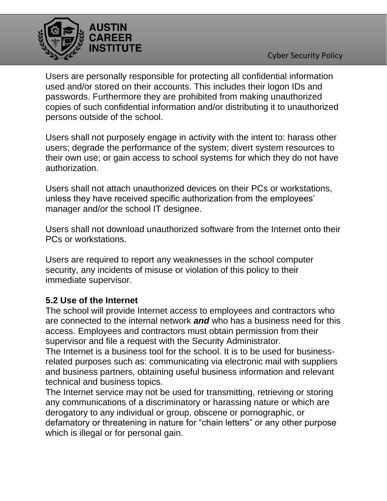



Users are personally responsible for protecting all confidential information used and/or stored on their accounts. This includes their logon IDs and passwords. Furthermore they are prohibited from making unauthorized copies of such confidential information and/or distributing it to unauthorized persons outside of the school.

Users shall not purposely engage in activity with the intent to: harass other users; degrade the performance of the system; divert system resources to their own use; or gain access to school systems for which they do not have authorization.

Users shall not attach unauthorized devices on their PCs or workstations, unless they have received specific authorization from the employees' manager and/or the school IT designee.

Users shall not download unauthorized software from the Internet onto their PCs or workstations.

Users are required to report any weaknesses in the school computer security, any incidents of misuse or violation of this policy to their immediate supervisor.

#### **5.2 Use of the Internet**

The school will provide Internet access to employees and contractors who are connected to the internal network *and* who has a business need for this access. Employees and contractors must obtain permission from their supervisor and file a request with the Security Administrator.

The Internet is a business tool for the school. It is to be used for businessrelated purposes such as: communicating via electronic mail with suppliers and business partners, obtaining useful business information and relevant technical and business topics.

The Internet service may not be used for transmitting, retrieving or storing any communications of a discriminatory or harassing nature or which are derogatory to any individual or group, obscene or pornographic, or defamatory or threatening in nature for "chain letters" or any other purpose which is illegal or for personal gain.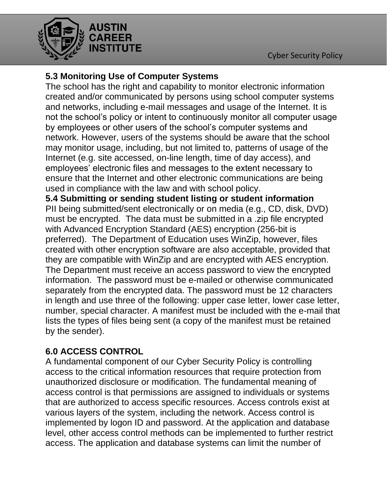

### **5.3 Monitoring Use of Computer Systems**

The school has the right and capability to monitor electronic information created and/or communicated by persons using school computer systems and networks, including e-mail messages and usage of the Internet. It is not the school's policy or intent to continuously monitor all computer usage by employees or other users of the school's computer systems and network. However, users of the systems should be aware that the school may monitor usage, including, but not limited to, patterns of usage of the Internet (e.g. site accessed, on-line length, time of day access), and employees' electronic files and messages to the extent necessary to ensure that the Internet and other electronic communications are being used in compliance with the law and with school policy.

**5.4 Submitting or sending student listing or student information** PII being submitted/sent electronically or on media (e.g., CD, disk, DVD) must be encrypted. The data must be submitted in a .zip file encrypted with Advanced Encryption Standard (AES) encryption (256-bit is preferred). The Department of Education uses WinZip, however, files created with other encryption software are also acceptable, provided that they are compatible with WinZip and are encrypted with AES encryption. The Department must receive an access password to view the encrypted information. The password must be e-mailed or otherwise communicated separately from the encrypted data. The password must be 12 characters in length and use three of the following: upper case letter, lower case letter, number, special character. A manifest must be included with the e-mail that lists the types of files being sent (a copy of the manifest must be retained by the sender).

### **6.0 ACCESS CONTROL**

A fundamental component of our Cyber Security Policy is controlling access to the critical information resources that require protection from unauthorized disclosure or modification. The fundamental meaning of access control is that permissions are assigned to individuals or systems that are authorized to access specific resources. Access controls exist at various layers of the system, including the network. Access control is implemented by logon ID and password. At the application and database level, other access control methods can be implemented to further restrict access. The application and database systems can limit the number of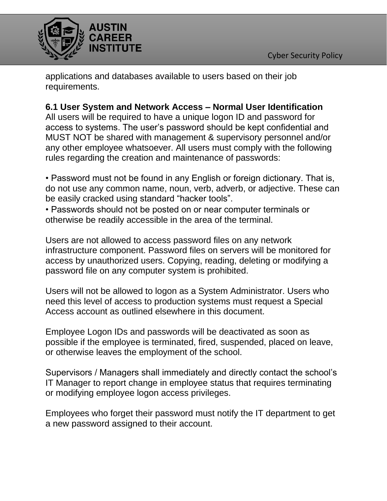

applications and databases available to users based on their job requirements.

### **6.1 User System and Network Access – Normal User Identification**

All users will be required to have a unique logon ID and password for access to systems. The user's password should be kept confidential and MUST NOT be shared with management & supervisory personnel and/or any other employee whatsoever. All users must comply with the following rules regarding the creation and maintenance of passwords:

• Password must not be found in any English or foreign dictionary. That is, do not use any common name, noun, verb, adverb, or adjective. These can be easily cracked using standard "hacker tools".

• Passwords should not be posted on or near computer terminals or otherwise be readily accessible in the area of the terminal.

Users are not allowed to access password files on any network infrastructure component. Password files on servers will be monitored for access by unauthorized users. Copying, reading, deleting or modifying a password file on any computer system is prohibited.

Users will not be allowed to logon as a System Administrator. Users who need this level of access to production systems must request a Special Access account as outlined elsewhere in this document.

Employee Logon IDs and passwords will be deactivated as soon as possible if the employee is terminated, fired, suspended, placed on leave, or otherwise leaves the employment of the school.

Supervisors / Managers shall immediately and directly contact the school's IT Manager to report change in employee status that requires terminating or modifying employee logon access privileges.

Employees who forget their password must notify the IT department to get a new password assigned to their account.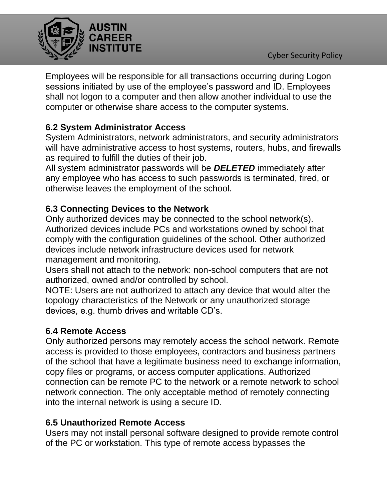

Employees will be responsible for all transactions occurring during Logon sessions initiated by use of the employee's password and ID. Employees shall not logon to a computer and then allow another individual to use the computer or otherwise share access to the computer systems.

# **6.2 System Administrator Access**

System Administrators, network administrators, and security administrators will have administrative access to host systems, routers, hubs, and firewalls as required to fulfill the duties of their job.

All system administrator passwords will be *DELETED* immediately after any employee who has access to such passwords is terminated, fired, or otherwise leaves the employment of the school.

# **6.3 Connecting Devices to the Network**

Only authorized devices may be connected to the school network(s). Authorized devices include PCs and workstations owned by school that comply with the configuration guidelines of the school. Other authorized devices include network infrastructure devices used for network management and monitoring.

Users shall not attach to the network: non-school computers that are not authorized, owned and/or controlled by school.

NOTE: Users are not authorized to attach any device that would alter the topology characteristics of the Network or any unauthorized storage devices, e.g. thumb drives and writable CD's.

# **6.4 Remote Access**

Only authorized persons may remotely access the school network. Remote access is provided to those employees, contractors and business partners of the school that have a legitimate business need to exchange information, copy files or programs, or access computer applications. Authorized connection can be remote PC to the network or a remote network to school network connection. The only acceptable method of remotely connecting into the internal network is using a secure ID.

#### **6.5 Unauthorized Remote Access**

Users may not install personal software designed to provide remote control of the PC or workstation. This type of remote access bypasses the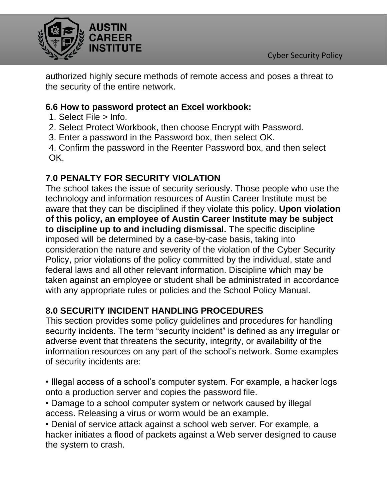

authorized highly secure methods of remote access and poses a threat to the security of the entire network.

### **6.6 How to password protect an Excel workbook:**

- 1. Select File > Info.
- 2. Select Protect Workbook, then choose Encrypt with Password.
- 3. Enter a password in the Password box, then select OK.

4. Confirm the password in the Reenter Password box, and then select OK.

# **7.0 PENALTY FOR SECURITY VIOLATION**

The school takes the issue of security seriously. Those people who use the technology and information resources of Austin Career Institute must be aware that they can be disciplined if they violate this policy. **Upon violation of this policy, an employee of Austin Career Institute may be subject to discipline up to and including dismissal.** The specific discipline imposed will be determined by a case-by-case basis, taking into consideration the nature and severity of the violation of the Cyber Security Policy, prior violations of the policy committed by the individual, state and federal laws and all other relevant information. Discipline which may be taken against an employee or student shall be administrated in accordance with any appropriate rules or policies and the School Policy Manual.

### **8.0 SECURITY INCIDENT HANDLING PROCEDURES**

This section provides some policy guidelines and procedures for handling security incidents. The term "security incident" is defined as any irregular or adverse event that threatens the security, integrity, or availability of the information resources on any part of the school's network. Some examples of security incidents are:

- Illegal access of a school's computer system. For example, a hacker logs onto a production server and copies the password file.
- Damage to a school computer system or network caused by illegal access. Releasing a virus or worm would be an example.

• Denial of service attack against a school web server. For example, a hacker initiates a flood of packets against a Web server designed to cause the system to crash.